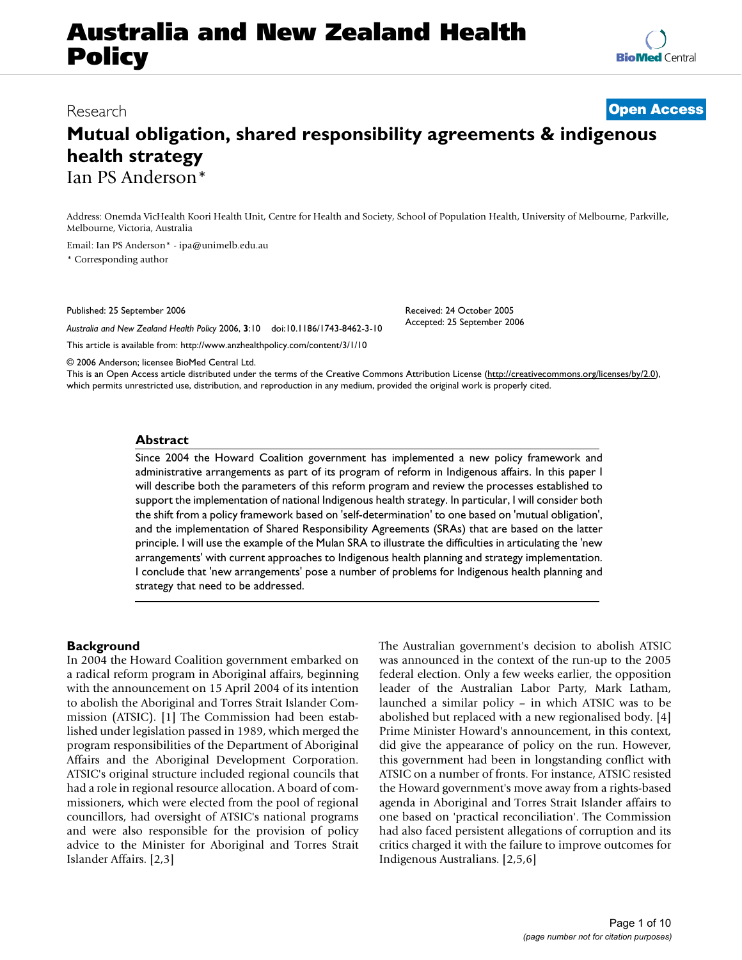# **Australia and New Zealand Health Policy**

## Research **[Open Access](http://www.biomedcentral.com/info/about/charter/)**

## **Mutual obligation, shared responsibility agreements & indigenous health strategy** Ian PS Anderson\*

**[BioMed](http://www.biomedcentral.com/)** Central

Address: Onemda VicHealth Koori Health Unit, Centre for Health and Society, School of Population Health, University of Melbourne, Parkville, Melbourne, Victoria, Australia

Email: Ian PS Anderson\* - ipa@unimelb.edu.au

\* Corresponding author

Published: 25 September 2006

*Australia and New Zealand Health Policy* 2006, **3**:10 doi:10.1186/1743-8462-3-10

[This article is available from: http://www.anzhealthpolicy.com/content/3/1/10](http://www.anzhealthpolicy.com/content/3/1/10)

Received: 24 October 2005 Accepted: 25 September 2006

© 2006 Anderson; licensee BioMed Central Ltd.

This is an Open Access article distributed under the terms of the Creative Commons Attribution License [\(http://creativecommons.org/licenses/by/2.0\)](http://creativecommons.org/licenses/by/2.0), which permits unrestricted use, distribution, and reproduction in any medium, provided the original work is properly cited.

### **Abstract**

Since 2004 the Howard Coalition government has implemented a new policy framework and administrative arrangements as part of its program of reform in Indigenous affairs. In this paper I will describe both the parameters of this reform program and review the processes established to support the implementation of national Indigenous health strategy. In particular, I will consider both the shift from a policy framework based on 'self-determination' to one based on 'mutual obligation', and the implementation of Shared Responsibility Agreements (SRAs) that are based on the latter principle. I will use the example of the Mulan SRA to illustrate the difficulties in articulating the 'new arrangements' with current approaches to Indigenous health planning and strategy implementation. I conclude that 'new arrangements' pose a number of problems for Indigenous health planning and strategy that need to be addressed.

## **Background**

In 2004 the Howard Coalition government embarked on a radical reform program in Aboriginal affairs, beginning with the announcement on 15 April 2004 of its intention to abolish the Aboriginal and Torres Strait Islander Commission (ATSIC). [1] The Commission had been established under legislation passed in 1989, which merged the program responsibilities of the Department of Aboriginal Affairs and the Aboriginal Development Corporation. ATSIC's original structure included regional councils that had a role in regional resource allocation. A board of commissioners, which were elected from the pool of regional councillors, had oversight of ATSIC's national programs and were also responsible for the provision of policy advice to the Minister for Aboriginal and Torres Strait Islander Affairs. [2,3]

The Australian government's decision to abolish ATSIC was announced in the context of the run-up to the 2005 federal election. Only a few weeks earlier, the opposition leader of the Australian Labor Party, Mark Latham, launched a similar policy – in which ATSIC was to be abolished but replaced with a new regionalised body. [4] Prime Minister Howard's announcement, in this context, did give the appearance of policy on the run. However, this government had been in longstanding conflict with ATSIC on a number of fronts. For instance, ATSIC resisted the Howard government's move away from a rights-based agenda in Aboriginal and Torres Strait Islander affairs to one based on 'practical reconciliation'. The Commission had also faced persistent allegations of corruption and its critics charged it with the failure to improve outcomes for Indigenous Australians. [2,5,6]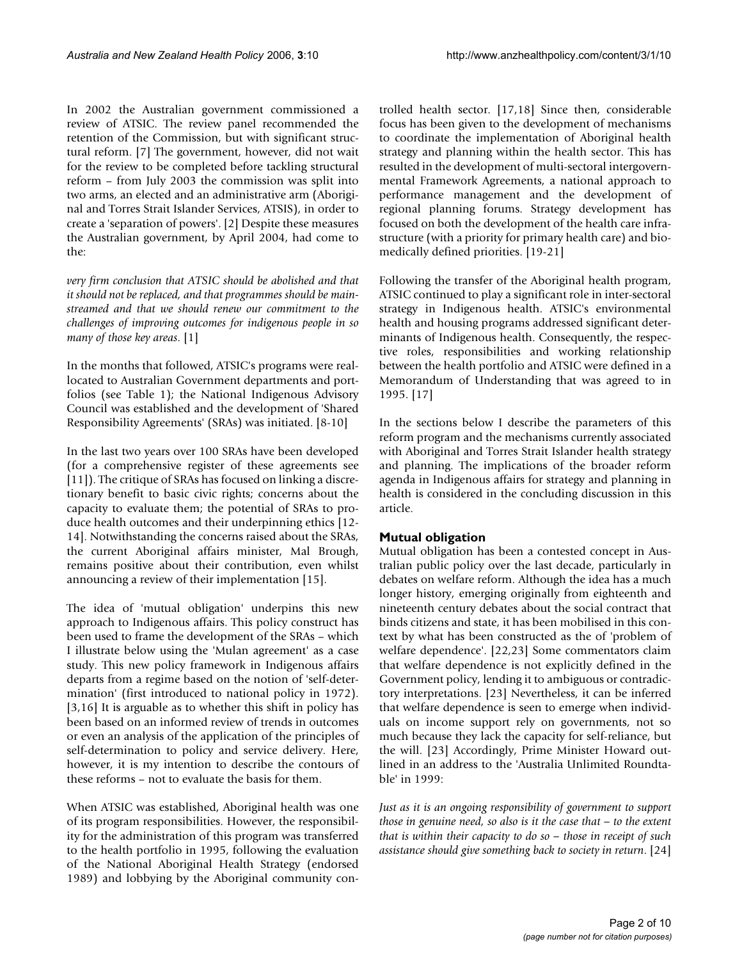In 2002 the Australian government commissioned a review of ATSIC. The review panel recommended the retention of the Commission, but with significant structural reform. [7] The government, however, did not wait for the review to be completed before tackling structural reform – from July 2003 the commission was split into two arms, an elected and an administrative arm (Aboriginal and Torres Strait Islander Services, ATSIS), in order to create a 'separation of powers'. [2] Despite these measures the Australian government, by April 2004, had come to the:

*very firm conclusion that ATSIC should be abolished and that it should not be replaced, and that programmes should be mainstreamed and that we should renew our commitment to the challenges of improving outcomes for indigenous people in so many of those key areas*. [1]

In the months that followed, ATSIC's programs were reallocated to Australian Government departments and portfolios (see Table 1); the National Indigenous Advisory Council was established and the development of 'Shared Responsibility Agreements' (SRAs) was initiated. [8-10]

In the last two years over 100 SRAs have been developed (for a comprehensive register of these agreements see [11]). The critique of SRAs has focused on linking a discretionary benefit to basic civic rights; concerns about the capacity to evaluate them; the potential of SRAs to produce health outcomes and their underpinning ethics [12- 14]. Notwithstanding the concerns raised about the SRAs, the current Aboriginal affairs minister, Mal Brough, remains positive about their contribution, even whilst announcing a review of their implementation [15].

The idea of 'mutual obligation' underpins this new approach to Indigenous affairs. This policy construct has been used to frame the development of the SRAs – which I illustrate below using the 'Mulan agreement' as a case study. This new policy framework in Indigenous affairs departs from a regime based on the notion of 'self-determination' (first introduced to national policy in 1972). [3,16] It is arguable as to whether this shift in policy has been based on an informed review of trends in outcomes or even an analysis of the application of the principles of self-determination to policy and service delivery. Here, however, it is my intention to describe the contours of these reforms – not to evaluate the basis for them.

When ATSIC was established, Aboriginal health was one of its program responsibilities. However, the responsibility for the administration of this program was transferred to the health portfolio in 1995, following the evaluation of the National Aboriginal Health Strategy (endorsed 1989) and lobbying by the Aboriginal community controlled health sector. [17,18] Since then, considerable focus has been given to the development of mechanisms to coordinate the implementation of Aboriginal health strategy and planning within the health sector. This has resulted in the development of multi-sectoral intergovernmental Framework Agreements, a national approach to performance management and the development of regional planning forums. Strategy development has focused on both the development of the health care infrastructure (with a priority for primary health care) and biomedically defined priorities. [19-21]

Following the transfer of the Aboriginal health program, ATSIC continued to play a significant role in inter-sectoral strategy in Indigenous health. ATSIC's environmental health and housing programs addressed significant determinants of Indigenous health. Consequently, the respective roles, responsibilities and working relationship between the health portfolio and ATSIC were defined in a Memorandum of Understanding that was agreed to in 1995. [17]

In the sections below I describe the parameters of this reform program and the mechanisms currently associated with Aboriginal and Torres Strait Islander health strategy and planning. The implications of the broader reform agenda in Indigenous affairs for strategy and planning in health is considered in the concluding discussion in this article.

## **Mutual obligation**

Mutual obligation has been a contested concept in Australian public policy over the last decade, particularly in debates on welfare reform. Although the idea has a much longer history, emerging originally from eighteenth and nineteenth century debates about the social contract that binds citizens and state, it has been mobilised in this context by what has been constructed as the of 'problem of welfare dependence'. [22,23] Some commentators claim that welfare dependence is not explicitly defined in the Government policy, lending it to ambiguous or contradictory interpretations. [23] Nevertheless, it can be inferred that welfare dependence is seen to emerge when individuals on income support rely on governments, not so much because they lack the capacity for self-reliance, but the will. [23] Accordingly, Prime Minister Howard outlined in an address to the 'Australia Unlimited Roundtable' in 1999:

*Just as it is an ongoing responsibility of government to support those in genuine need, so also is it the case that – to the extent that is within their capacity to do so – those in receipt of such assistance should give something back to society in return*. [24]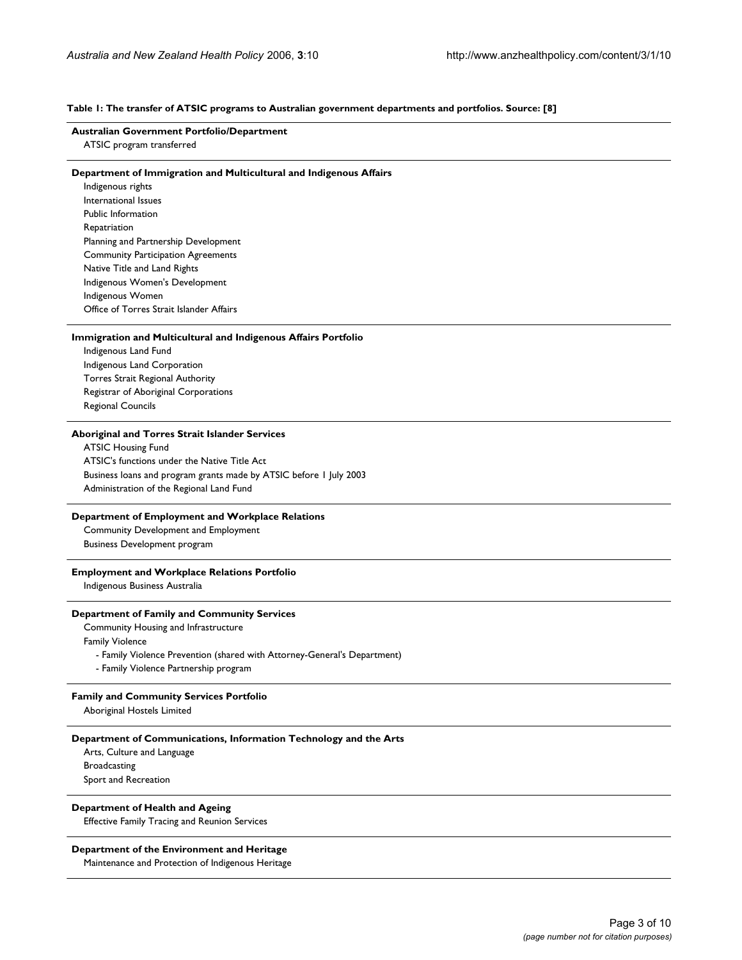### **Table 1: The transfer of ATSIC programs to Australian government departments and portfolios. Source: [8]**

| Australian Government Portfolio/Department                               |
|--------------------------------------------------------------------------|
| ATSIC program transferred                                                |
| Department of Immigration and Multicultural and Indigenous Affairs       |
| Indigenous rights                                                        |
| International Issues                                                     |
| Public Information                                                       |
| Repatriation                                                             |
| Planning and Partnership Development                                     |
| <b>Community Participation Agreements</b>                                |
| Native Title and Land Rights                                             |
| Indigenous Women's Development                                           |
| Indigenous Women                                                         |
| Office of Torres Strait Islander Affairs                                 |
| Immigration and Multicultural and Indigenous Affairs Portfolio           |
| Indigenous Land Fund                                                     |
| Indigenous Land Corporation                                              |
| Torres Strait Regional Authority                                         |
| Registrar of Aboriginal Corporations                                     |
| Regional Councils                                                        |
| Aboriginal and Torres Strait Islander Services                           |
| <b>ATSIC Housing Fund</b>                                                |
| ATSIC's functions under the Native Title Act                             |
| Business loans and program grants made by ATSIC before 1 July 2003       |
| Administration of the Regional Land Fund                                 |
| Department of Employment and Workplace Relations                         |
| Community Development and Employment                                     |
| <b>Business Development program</b>                                      |
| <b>Employment and Workplace Relations Portfolio</b>                      |
| Indigenous Business Australia                                            |
|                                                                          |
| Department of Family and Community Services                              |
| Community Housing and Infrastructure                                     |
| <b>Family Violence</b>                                                   |
| - Family Violence Prevention (shared with Attorney-General's Department) |
| - Family Violence Partnership program                                    |
| <b>Family and Community Services Portfolio</b>                           |
| Aboriginal Hostels Limited                                               |
| Department of Communications, Information Technology and the Arts        |
| Arts, Culture and Language                                               |
| <b>Broadcasting</b>                                                      |
| Sport and Recreation                                                     |
| Department of Health and Ageing                                          |
| <b>Effective Family Tracing and Reunion Services</b>                     |
|                                                                          |

## **Department of the Environment and Heritage**

Maintenance and Protection of Indigenous Heritage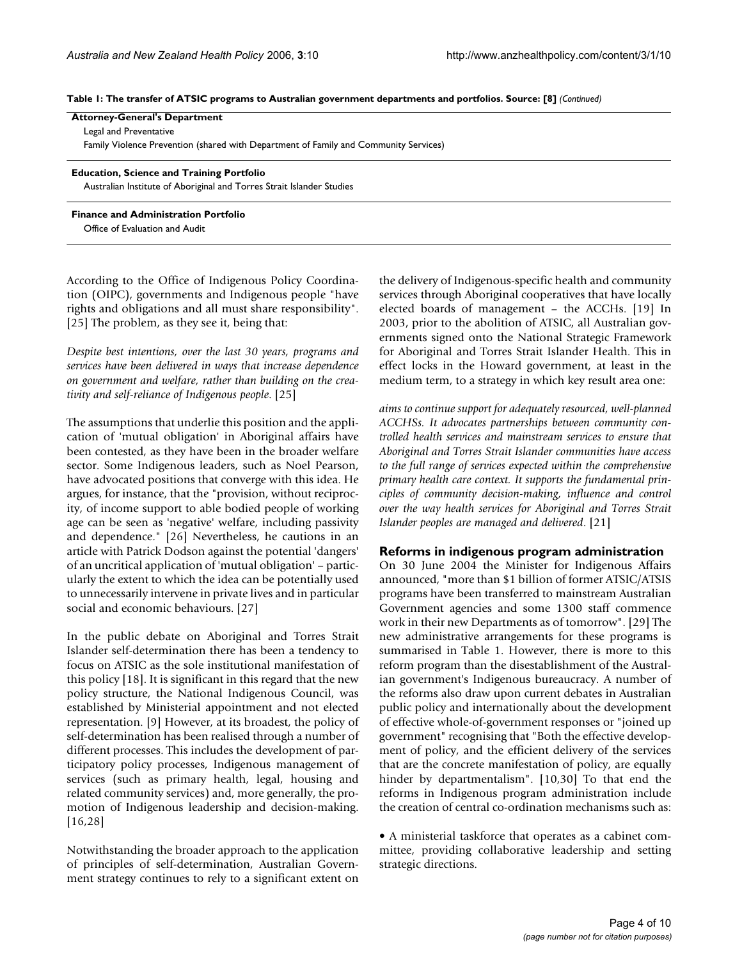| Table 1: The transfer of ATSIC programs to Australian government departments and portfolios. Source: [8] (Continued) |  |  |
|----------------------------------------------------------------------------------------------------------------------|--|--|
|----------------------------------------------------------------------------------------------------------------------|--|--|

| <b>Attorney-General's Department</b>                                                 |  |  |  |  |  |  |  |
|--------------------------------------------------------------------------------------|--|--|--|--|--|--|--|
| Legal and Preventative                                                               |  |  |  |  |  |  |  |
| Family Violence Prevention (shared with Department of Family and Community Services) |  |  |  |  |  |  |  |
| <b>Education, Science and Training Portfolio</b>                                     |  |  |  |  |  |  |  |
| Australian Institute of Aboriginal and Torres Strait Islander Studies                |  |  |  |  |  |  |  |
| <b>Finance and Administration Portfolio</b>                                          |  |  |  |  |  |  |  |
| Office of Evaluation and Audit                                                       |  |  |  |  |  |  |  |

According to the Office of Indigenous Policy Coordination (OIPC), governments and Indigenous people "have rights and obligations and all must share responsibility". [25] The problem, as they see it, being that:

*Despite best intentions, over the last 30 years, programs and services have been delivered in ways that increase dependence on government and welfare, rather than building on the creativity and self-reliance of Indigenous people*. [25]

The assumptions that underlie this position and the application of 'mutual obligation' in Aboriginal affairs have been contested, as they have been in the broader welfare sector. Some Indigenous leaders, such as Noel Pearson, have advocated positions that converge with this idea. He argues, for instance, that the "provision, without reciprocity, of income support to able bodied people of working age can be seen as 'negative' welfare, including passivity and dependence." [26] Nevertheless, he cautions in an article with Patrick Dodson against the potential 'dangers' of an uncritical application of 'mutual obligation' – particularly the extent to which the idea can be potentially used to unnecessarily intervene in private lives and in particular social and economic behaviours. [27]

In the public debate on Aboriginal and Torres Strait Islander self-determination there has been a tendency to focus on ATSIC as the sole institutional manifestation of this policy [18]. It is significant in this regard that the new policy structure, the National Indigenous Council, was established by Ministerial appointment and not elected representation. [9] However, at its broadest, the policy of self-determination has been realised through a number of different processes. This includes the development of participatory policy processes, Indigenous management of services (such as primary health, legal, housing and related community services) and, more generally, the promotion of Indigenous leadership and decision-making. [16,28]

Notwithstanding the broader approach to the application of principles of self-determination, Australian Government strategy continues to rely to a significant extent on

the delivery of Indigenous-specific health and community services through Aboriginal cooperatives that have locally elected boards of management – the ACCHs. [19] In 2003, prior to the abolition of ATSIC, all Australian governments signed onto the National Strategic Framework for Aboriginal and Torres Strait Islander Health. This in effect locks in the Howard government, at least in the medium term, to a strategy in which key result area one:

*aims to continue support for adequately resourced, well-planned ACCHSs. It advocates partnerships between community controlled health services and mainstream services to ensure that Aboriginal and Torres Strait Islander communities have access to the full range of services expected within the comprehensive primary health care context. It supports the fundamental principles of community decision-making, influence and control over the way health services for Aboriginal and Torres Strait Islander peoples are managed and delivered*. [21]

#### **Reforms in indigenous program administration**

On 30 June 2004 the Minister for Indigenous Affairs announced, "more than \$1 billion of former ATSIC/ATSIS programs have been transferred to mainstream Australian Government agencies and some 1300 staff commence work in their new Departments as of tomorrow". [29] The new administrative arrangements for these programs is summarised in Table 1. However, there is more to this reform program than the disestablishment of the Australian government's Indigenous bureaucracy. A number of the reforms also draw upon current debates in Australian public policy and internationally about the development of effective whole-of-government responses or "joined up government" recognising that "Both the effective development of policy, and the efficient delivery of the services that are the concrete manifestation of policy, are equally hinder by departmentalism". [10,30] To that end the reforms in Indigenous program administration include the creation of central co-ordination mechanisms such as:

• A ministerial taskforce that operates as a cabinet committee, providing collaborative leadership and setting strategic directions.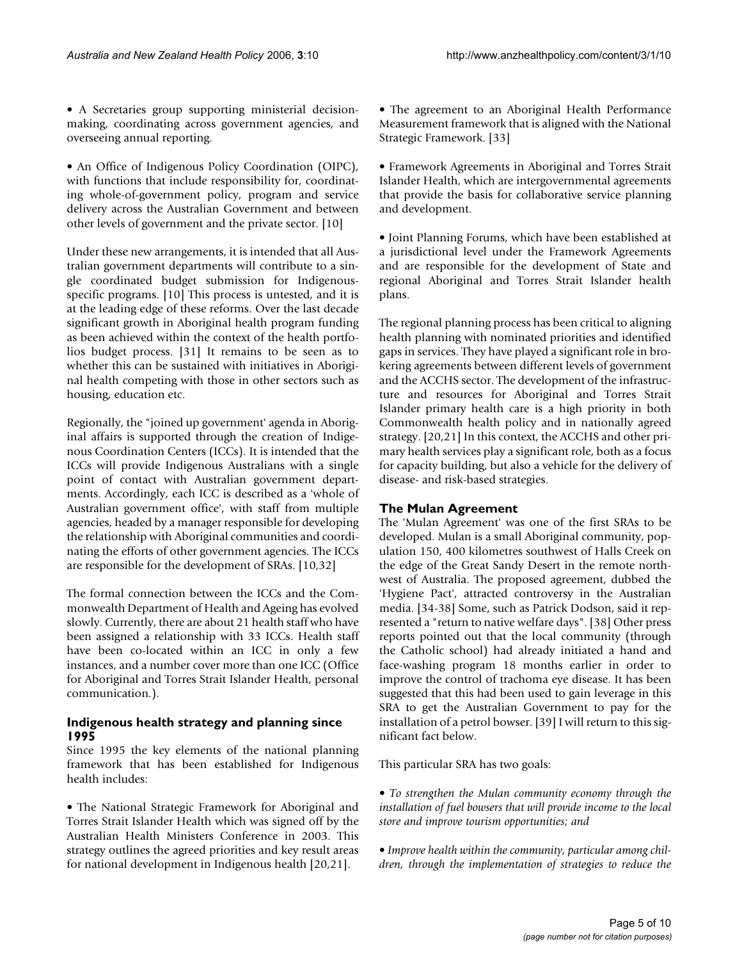• A Secretaries group supporting ministerial decisionmaking, coordinating across government agencies, and overseeing annual reporting.

• An Office of Indigenous Policy Coordination (OIPC), with functions that include responsibility for, coordinating whole-of-government policy, program and service delivery across the Australian Government and between other levels of government and the private sector. [10]

Under these new arrangements, it is intended that all Australian government departments will contribute to a single coordinated budget submission for Indigenousspecific programs. [10] This process is untested, and it is at the leading edge of these reforms. Over the last decade significant growth in Aboriginal health program funding as been achieved within the context of the health portfolios budget process. [31] It remains to be seen as to whether this can be sustained with initiatives in Aboriginal health competing with those in other sectors such as housing, education etc.

Regionally, the "joined up government' agenda in Aboriginal affairs is supported through the creation of Indigenous Coordination Centers (ICCs). It is intended that the ICCs will provide Indigenous Australians with a single point of contact with Australian government departments. Accordingly, each ICC is described as a 'whole of Australian government office', with staff from multiple agencies, headed by a manager responsible for developing the relationship with Aboriginal communities and coordinating the efforts of other government agencies. The ICCs are responsible for the development of SRAs. [10,32]

The formal connection between the ICCs and the Commonwealth Department of Health and Ageing has evolved slowly. Currently, there are about 21 health staff who have been assigned a relationship with 33 ICCs. Health staff have been co-located within an ICC in only a few instances, and a number cover more than one ICC (Office for Aboriginal and Torres Strait Islander Health, personal communication.).

## **Indigenous health strategy and planning since 1995**

Since 1995 the key elements of the national planning framework that has been established for Indigenous health includes:

• The National Strategic Framework for Aboriginal and Torres Strait Islander Health which was signed off by the Australian Health Ministers Conference in 2003. This strategy outlines the agreed priorities and key result areas for national development in Indigenous health [20,21].

• The agreement to an Aboriginal Health Performance Measurement framework that is aligned with the National Strategic Framework. [33]

• Framework Agreements in Aboriginal and Torres Strait Islander Health, which are intergovernmental agreements that provide the basis for collaborative service planning and development.

• Joint Planning Forums, which have been established at a jurisdictional level under the Framework Agreements and are responsible for the development of State and regional Aboriginal and Torres Strait Islander health plans.

The regional planning process has been critical to aligning health planning with nominated priorities and identified gaps in services. They have played a significant role in brokering agreements between different levels of government and the ACCHS sector. The development of the infrastructure and resources for Aboriginal and Torres Strait Islander primary health care is a high priority in both Commonwealth health policy and in nationally agreed strategy. [20,21] In this context, the ACCHS and other primary health services play a significant role, both as a focus for capacity building, but also a vehicle for the delivery of disease- and risk-based strategies.

## **The Mulan Agreement**

The 'Mulan Agreement' was one of the first SRAs to be developed. Mulan is a small Aboriginal community, population 150, 400 kilometres southwest of Halls Creek on the edge of the Great Sandy Desert in the remote northwest of Australia. The proposed agreement, dubbed the 'Hygiene Pact', attracted controversy in the Australian media. [34-38] Some, such as Patrick Dodson, said it represented a "return to native welfare days". [38] Other press reports pointed out that the local community (through the Catholic school) had already initiated a hand and face-washing program 18 months earlier in order to improve the control of trachoma eye disease. It has been suggested that this had been used to gain leverage in this SRA to get the Australian Government to pay for the installation of a petrol bowser. [39] I will return to this significant fact below.

This particular SRA has two goals:

- *To strengthen the Mulan community economy through the installation of fuel bowsers that will provide income to the local store and improve tourism opportunities; and*
- *Improve health within the community, particular among children, through the implementation of strategies to reduce the*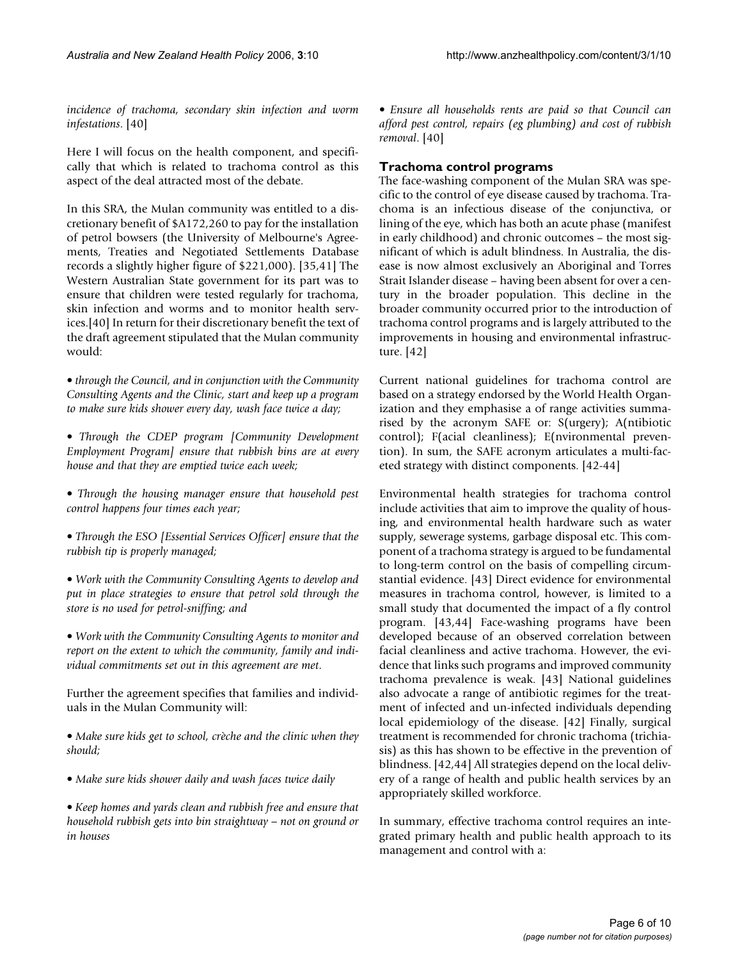*incidence of trachoma, secondary skin infection and worm infestations*. [40]

Here I will focus on the health component, and specifically that which is related to trachoma control as this aspect of the deal attracted most of the debate.

In this SRA, the Mulan community was entitled to a discretionary benefit of \$A172,260 to pay for the installation of petrol bowsers (the University of Melbourne's Agreements, Treaties and Negotiated Settlements Database records a slightly higher figure of \$221,000). [35,41] The Western Australian State government for its part was to ensure that children were tested regularly for trachoma, skin infection and worms and to monitor health services.[40] In return for their discretionary benefit the text of the draft agreement stipulated that the Mulan community would:

• *through the Council, and in conjunction with the Community Consulting Agents and the Clinic, start and keep up a program to make sure kids shower every day, wash face twice a day;*

• *Through the CDEP program [Community Development Employment Program] ensure that rubbish bins are at every house and that they are emptied twice each week;*

- *Through the housing manager ensure that household pest control happens four times each year;*
- *Through the ESO [Essential Services Officer] ensure that the rubbish tip is properly managed;*

• *Work with the Community Consulting Agents to develop and put in place strategies to ensure that petrol sold through the store is no used for petrol-sniffing; and*

• *Work with the Community Consulting Agents to monitor and report on the extent to which the community, family and individual commitments set out in this agreement are met*.

Further the agreement specifies that families and individuals in the Mulan Community will:

• *Make sure kids get to school, crèche and the clinic when they should;*

• *Make sure kids shower daily and wash faces twice daily*

• *Keep homes and yards clean and rubbish free and ensure that household rubbish gets into bin straightway – not on ground or in houses*

• *Ensure all households rents are paid so that Council can afford pest control, repairs (eg plumbing) and cost of rubbish removal*. [40]

## **Trachoma control programs**

The face-washing component of the Mulan SRA was specific to the control of eye disease caused by trachoma. Trachoma is an infectious disease of the conjunctiva, or lining of the eye, which has both an acute phase (manifest in early childhood) and chronic outcomes – the most significant of which is adult blindness. In Australia, the disease is now almost exclusively an Aboriginal and Torres Strait Islander disease – having been absent for over a century in the broader population. This decline in the broader community occurred prior to the introduction of trachoma control programs and is largely attributed to the improvements in housing and environmental infrastructure. [42]

Current national guidelines for trachoma control are based on a strategy endorsed by the World Health Organization and they emphasise a of range activities summarised by the acronym SAFE or: S(urgery); A(ntibiotic control); F(acial cleanliness); E(nvironmental prevention). In sum, the SAFE acronym articulates a multi-faceted strategy with distinct components. [42-44]

Environmental health strategies for trachoma control include activities that aim to improve the quality of housing, and environmental health hardware such as water supply, sewerage systems, garbage disposal etc. This component of a trachoma strategy is argued to be fundamental to long-term control on the basis of compelling circumstantial evidence. [43] Direct evidence for environmental measures in trachoma control, however, is limited to a small study that documented the impact of a fly control program. [43,44] Face-washing programs have been developed because of an observed correlation between facial cleanliness and active trachoma. However, the evidence that links such programs and improved community trachoma prevalence is weak. [43] National guidelines also advocate a range of antibiotic regimes for the treatment of infected and un-infected individuals depending local epidemiology of the disease. [42] Finally, surgical treatment is recommended for chronic trachoma (trichiasis) as this has shown to be effective in the prevention of blindness. [42,44] All strategies depend on the local delivery of a range of health and public health services by an appropriately skilled workforce.

In summary, effective trachoma control requires an integrated primary health and public health approach to its management and control with a: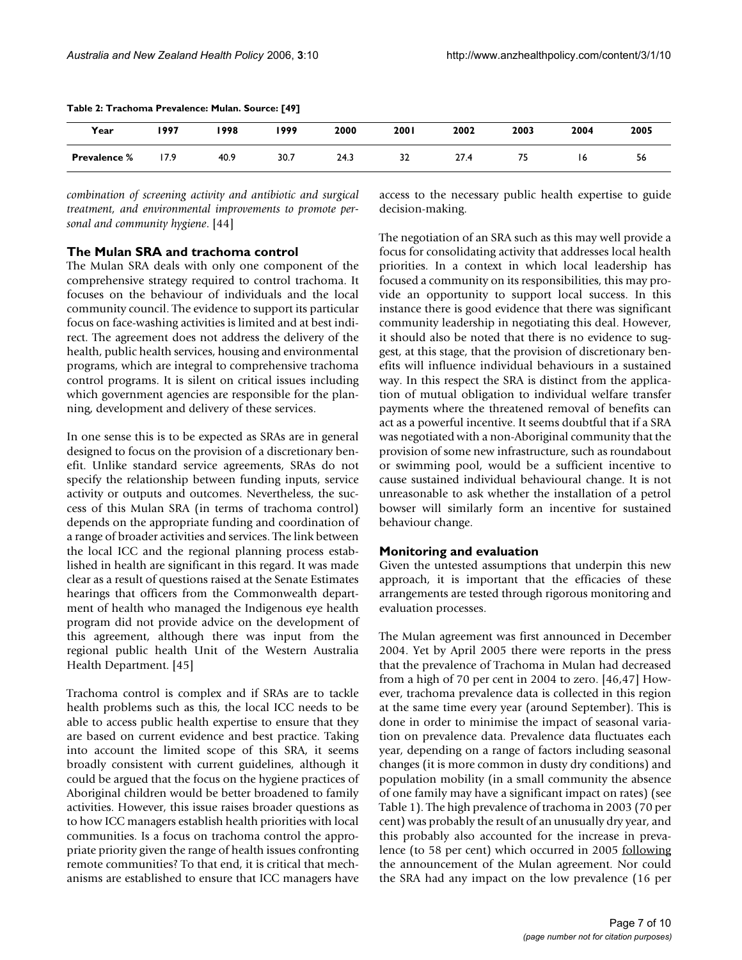| Year                | 1997 | 1998 | 1999 | 2000 | 2001 | 2002 | 2003 | 2004 | 2005 |
|---------------------|------|------|------|------|------|------|------|------|------|
| <b>Prevalence %</b> | 17.9 | 40.9 | 30.7 | 24.3 | ັ້   | 27.4 | 75   | 16   | 56   |

**Table 2: Trachoma Prevalence: Mulan. Source: [49]**

*combination of screening activity and antibiotic and surgical treatment, and environmental improvements to promote personal and community hygiene*. [44]

#### **The Mulan SRA and trachoma control**

The Mulan SRA deals with only one component of the comprehensive strategy required to control trachoma. It focuses on the behaviour of individuals and the local community council. The evidence to support its particular focus on face-washing activities is limited and at best indirect. The agreement does not address the delivery of the health, public health services, housing and environmental programs, which are integral to comprehensive trachoma control programs. It is silent on critical issues including which government agencies are responsible for the planning, development and delivery of these services.

In one sense this is to be expected as SRAs are in general designed to focus on the provision of a discretionary benefit. Unlike standard service agreements, SRAs do not specify the relationship between funding inputs, service activity or outputs and outcomes. Nevertheless, the success of this Mulan SRA (in terms of trachoma control) depends on the appropriate funding and coordination of a range of broader activities and services. The link between the local ICC and the regional planning process established in health are significant in this regard. It was made clear as a result of questions raised at the Senate Estimates hearings that officers from the Commonwealth department of health who managed the Indigenous eye health program did not provide advice on the development of this agreement, although there was input from the regional public health Unit of the Western Australia Health Department. [45]

Trachoma control is complex and if SRAs are to tackle health problems such as this, the local ICC needs to be able to access public health expertise to ensure that they are based on current evidence and best practice. Taking into account the limited scope of this SRA, it seems broadly consistent with current guidelines, although it could be argued that the focus on the hygiene practices of Aboriginal children would be better broadened to family activities. However, this issue raises broader questions as to how ICC managers establish health priorities with local communities. Is a focus on trachoma control the appropriate priority given the range of health issues confronting remote communities? To that end, it is critical that mechanisms are established to ensure that ICC managers have

access to the necessary public health expertise to guide decision-making.

The negotiation of an SRA such as this may well provide a focus for consolidating activity that addresses local health priorities. In a context in which local leadership has focused a community on its responsibilities, this may provide an opportunity to support local success. In this instance there is good evidence that there was significant community leadership in negotiating this deal. However, it should also be noted that there is no evidence to suggest, at this stage, that the provision of discretionary benefits will influence individual behaviours in a sustained way. In this respect the SRA is distinct from the application of mutual obligation to individual welfare transfer payments where the threatened removal of benefits can act as a powerful incentive. It seems doubtful that if a SRA was negotiated with a non-Aboriginal community that the provision of some new infrastructure, such as roundabout or swimming pool, would be a sufficient incentive to cause sustained individual behavioural change. It is not unreasonable to ask whether the installation of a petrol bowser will similarly form an incentive for sustained behaviour change.

#### **Monitoring and evaluation**

Given the untested assumptions that underpin this new approach, it is important that the efficacies of these arrangements are tested through rigorous monitoring and evaluation processes.

The Mulan agreement was first announced in December 2004. Yet by April 2005 there were reports in the press that the prevalence of Trachoma in Mulan had decreased from a high of 70 per cent in 2004 to zero. [46,47] However, trachoma prevalence data is collected in this region at the same time every year (around September). This is done in order to minimise the impact of seasonal variation on prevalence data. Prevalence data fluctuates each year, depending on a range of factors including seasonal changes (it is more common in dusty dry conditions) and population mobility (in a small community the absence of one family may have a significant impact on rates) (see Table 1). The high prevalence of trachoma in 2003 (70 per cent) was probably the result of an unusually dry year, and this probably also accounted for the increase in prevalence (to 58 per cent) which occurred in 2005 following the announcement of the Mulan agreement. Nor could the SRA had any impact on the low prevalence (16 per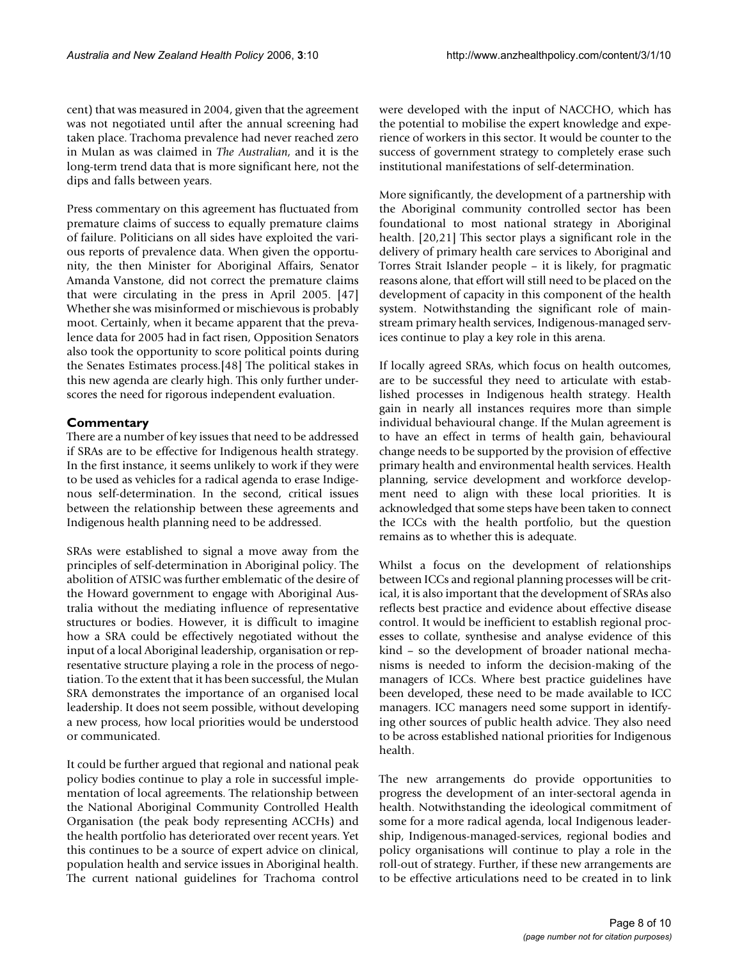cent) that was measured in 2004, given that the agreement was not negotiated until after the annual screening had taken place. Trachoma prevalence had never reached zero in Mulan as was claimed in *The Australian*, and it is the long-term trend data that is more significant here, not the dips and falls between years.

Press commentary on this agreement has fluctuated from premature claims of success to equally premature claims of failure. Politicians on all sides have exploited the various reports of prevalence data. When given the opportunity, the then Minister for Aboriginal Affairs, Senator Amanda Vanstone, did not correct the premature claims that were circulating in the press in April 2005. [47] Whether she was misinformed or mischievous is probably moot. Certainly, when it became apparent that the prevalence data for 2005 had in fact risen, Opposition Senators also took the opportunity to score political points during the Senates Estimates process.[48] The political stakes in this new agenda are clearly high. This only further underscores the need for rigorous independent evaluation.

## **Commentary**

There are a number of key issues that need to be addressed if SRAs are to be effective for Indigenous health strategy. In the first instance, it seems unlikely to work if they were to be used as vehicles for a radical agenda to erase Indigenous self-determination. In the second, critical issues between the relationship between these agreements and Indigenous health planning need to be addressed.

SRAs were established to signal a move away from the principles of self-determination in Aboriginal policy. The abolition of ATSIC was further emblematic of the desire of the Howard government to engage with Aboriginal Australia without the mediating influence of representative structures or bodies. However, it is difficult to imagine how a SRA could be effectively negotiated without the input of a local Aboriginal leadership, organisation or representative structure playing a role in the process of negotiation. To the extent that it has been successful, the Mulan SRA demonstrates the importance of an organised local leadership. It does not seem possible, without developing a new process, how local priorities would be understood or communicated.

It could be further argued that regional and national peak policy bodies continue to play a role in successful implementation of local agreements. The relationship between the National Aboriginal Community Controlled Health Organisation (the peak body representing ACCHs) and the health portfolio has deteriorated over recent years. Yet this continues to be a source of expert advice on clinical, population health and service issues in Aboriginal health. The current national guidelines for Trachoma control

were developed with the input of NACCHO, which has the potential to mobilise the expert knowledge and experience of workers in this sector. It would be counter to the success of government strategy to completely erase such institutional manifestations of self-determination.

More significantly, the development of a partnership with the Aboriginal community controlled sector has been foundational to most national strategy in Aboriginal health. [20,21] This sector plays a significant role in the delivery of primary health care services to Aboriginal and Torres Strait Islander people – it is likely, for pragmatic reasons alone, that effort will still need to be placed on the development of capacity in this component of the health system. Notwithstanding the significant role of mainstream primary health services, Indigenous-managed services continue to play a key role in this arena.

If locally agreed SRAs, which focus on health outcomes, are to be successful they need to articulate with established processes in Indigenous health strategy. Health gain in nearly all instances requires more than simple individual behavioural change. If the Mulan agreement is to have an effect in terms of health gain, behavioural change needs to be supported by the provision of effective primary health and environmental health services. Health planning, service development and workforce development need to align with these local priorities. It is acknowledged that some steps have been taken to connect the ICCs with the health portfolio, but the question remains as to whether this is adequate.

Whilst a focus on the development of relationships between ICCs and regional planning processes will be critical, it is also important that the development of SRAs also reflects best practice and evidence about effective disease control. It would be inefficient to establish regional processes to collate, synthesise and analyse evidence of this kind – so the development of broader national mechanisms is needed to inform the decision-making of the managers of ICCs. Where best practice guidelines have been developed, these need to be made available to ICC managers. ICC managers need some support in identifying other sources of public health advice. They also need to be across established national priorities for Indigenous health.

The new arrangements do provide opportunities to progress the development of an inter-sectoral agenda in health. Notwithstanding the ideological commitment of some for a more radical agenda, local Indigenous leadership, Indigenous-managed-services, regional bodies and policy organisations will continue to play a role in the roll-out of strategy. Further, if these new arrangements are to be effective articulations need to be created in to link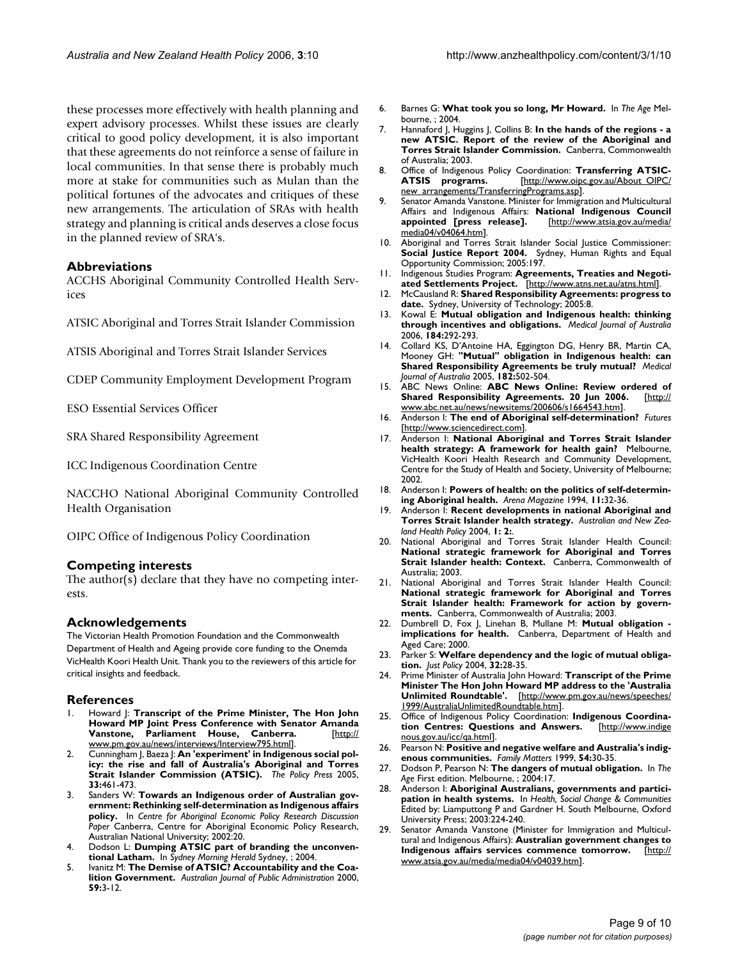these processes more effectively with health planning and expert advisory processes. Whilst these issues are clearly critical to good policy development, it is also important that these agreements do not reinforce a sense of failure in local communities. In that sense there is probably much more at stake for communities such as Mulan than the political fortunes of the advocates and critiques of these new arrangements. The articulation of SRAs with health strategy and planning is critical ands deserves a close focus in the planned review of SRA's.

## **Abbreviations**

ACCHS Aboriginal Community Controlled Health Services

ATSIC Aboriginal and Torres Strait Islander Commission

ATSIS Aboriginal and Torres Strait Islander Services

CDEP Community Employment Development Program

ESO Essential Services Officer

SRA Shared Responsibility Agreement

ICC Indigenous Coordination Centre

NACCHO National Aboriginal Community Controlled Health Organisation

OIPC Office of Indigenous Policy Coordination

## **Competing interests**

The author(s) declare that they have no competing interests.

#### **Acknowledgements**

The Victorian Health Promotion Foundation and the Commonwealth Department of Health and Ageing provide core funding to the Onemda VicHealth Koori Health Unit. Thank you to the reviewers of this article for critical insights and feedback.

#### **References**

- Howard |: Transcript of the Prime Minister, The Hon John **Howard MP Joint Press Conference with Senator Amanda Vanstone, Parliament House, Canberra.** [[http://](http://www.pm.gov.au/news/interviews/Interview795.html) [www.pm.gov.au/news/interviews/Interview795.html](http://www.pm.gov.au/news/interviews/Interview795.html)].
- 2. Cunningham J, Baeza J: **An 'experiment' in Indigenous social policy: the rise and fall of Australia's Aboriginal and Torres Strait Islander Commission (ATSIC).** *The Policy Press* 2005, **33:**461-473.
- 3. Sanders W: **Towards an Indigenous order of Australian government: Rethinking self-determination as Indigenous affairs policy.** In *Centre for Aboriginal Economic Policy Research Discussion Paper* Canberra, Centre for Aboriginal Economic Policy Research, Australian National University; 2002:20.
- 4. Dodson L: **Dumping ATSIC part of branding the unconventional Latham.** In *Sydney Morning Herald* Sydney, ; 2004.
- 5. Ivanitz M: **The Demise of ATSIC? Accountability and the Coalition Government.** *Australian Journal of Public Administration* 2000, **59:**3-12.
- 6. Barnes G: **What took you so long, Mr Howard.** In *The Age* Melbourne, ; 2004.
- 7. Hannaford J, Huggins J, Collins B: **In the hands of the regions a new ATSIC. Report of the review of the Aboriginal and Torres Strait Islander Commission.** Canberra, Commonwealth of Australia; 2003.
- Office of Indigenous Policy Coordination: **Transferring ATSIC-<br><b>ATSIS** programs. [http://www.oipc.gov.au/About\_OIPC/ [\[http://www.oipc.gov.au/About\\_OIPC/](http://www.oipc.gov.au/About_OIPC/new_arrangements/TransferringPrograms.asp) [new\\_arrangements/TransferringPrograms.asp](http://www.oipc.gov.au/About_OIPC/new_arrangements/TransferringPrograms.asp)].
- 9. Senator Amanda Vanstone. Minister for Immigration and Multicultural Affairs and Indigenous Affairs: **National Indigenous Council**<br>appointed [press release]. [http://www.atsia.gov.au/media/ [\[http://www.atsia.gov.au/media/](http://www.atsia.gov.au/media/media04/v04064.htm) [media04/v04064.htm\]](http://www.atsia.gov.au/media/media04/v04064.htm).
- 10. Aboriginal and Torres Strait Islander Social Justice Commissioner: **Social Justice Report 2004.** Sydney, Human Rights and Equal Opportunity Commission; 2005:197.
- 11. Indigenous Studies Program: **Agreements, Treaties and Negotiated Settlements Project.** [[http://www.atns.net.au/atns.html\]](http://www.atns.net.au/atns.html).
- 12. McCausland R: **Shared Responsibility Agreements: progress to date.** Sydney, University of Technology; 2005:8.
- 13. Kowal E: **[Mutual obligation and Indigenous health: thinking](http://www.ncbi.nlm.nih.gov/entrez/query.fcgi?cmd=Retrieve&db=PubMed&dopt=Abstract&list_uids=16548836) [through incentives and obligations.](http://www.ncbi.nlm.nih.gov/entrez/query.fcgi?cmd=Retrieve&db=PubMed&dopt=Abstract&list_uids=16548836)** *Medical Journal of Australia* 2006, **184:**292-293.
- 14. Collard KS, D'Antoine HA, Eggington DG, Henry BR, Martin CA, Mooney GH: **["Mutual" obligation in Indigenous health: can](http://www.ncbi.nlm.nih.gov/entrez/query.fcgi?cmd=Retrieve&db=PubMed&dopt=Abstract&list_uids=15896176) [Shared Responsibility Agreements be truly mutual?](http://www.ncbi.nlm.nih.gov/entrez/query.fcgi?cmd=Retrieve&db=PubMed&dopt=Abstract&list_uids=15896176)** *Medical Journal of Australia* 2005, **182:**502-504.
- 15. ABC News Online: **ABC News Online: Review ordered of Shared Responsibility Agreements. 20 Jun 2006.** [\[http://](http://www.abc.net.au/news/newsitems/200606/s1664543.htm) [www.abc.net.au/news/newsitems/200606/s1664543.htm\]](http://www.abc.net.au/news/newsitems/200606/s1664543.htm).
- 16. Anderson I: **The end of Aboriginal self-determination?** *Futures* [[http://www.sciencedirect.com\]](http://www.sciencedirect.com).
- 17. Anderson I: **National Aboriginal and Torres Strait Islander health strategy: A framework for health gain?** Melbourne, VicHealth Koori Health Research and Community Development, Centre for the Study of Health and Society, University of Melbourne; 2002.
- 18. Anderson I: **Powers of health: on the politics of self-determining Aboriginal health.** *Arena Magazine* 1994, **11:**32-36.
- 19. Anderson I: **Recent developments in national Aboriginal and Torres Strait Islander health strategy.** *Australian and New Zealand Health Policy* 2004, **1: 2:**.
- 20. National Aboriginal and Torres Strait Islander Health Council: **National strategic framework for Aboriginal and Torres Strait Islander health: Context.** Canberra, Commonwealth of Australia; 2003.
- 21. National Aboriginal and Torres Strait Islander Health Council: **National strategic framework for Aboriginal and Torres Strait Islander health: Framework for action by governments.** Canberra, Commonwealth of Australia; 2003.
- 22. Dumbrell D, Fox J, Linehan B, Mullane M: **Mutual obligation implications for health.** Canberra, Department of Health and Aged Care; 2000.
- 23. Parker S: **Welfare dependency and the logic of mutual obligation.** *Just Policy* 2004, **32:**28-35.
- 24. Prime Minister of Australia John Howard: **Transcript of the Prime Minister The Hon John Howard MP address to the 'Australia Unlimited Roundtable'.** [[http://www.pm.gov.au/news/speeches/](http://www.pm.gov.au/news/speeches/1999/AustraliaUnlimitedRoundtable.htm) [1999/AustraliaUnlimitedRoundtable.htm](http://www.pm.gov.au/news/speeches/1999/AustraliaUnlimitedRoundtable.htm)].
- 25. Office of Indigenous Policy Coordination: **Indigenous Coordination Centres: Questions and Answers.** [[http://www.indige](http://www.indigenous.gov.au/icc/qa.html) [nous.gov.au/icc/qa.html\]](http://www.indigenous.gov.au/icc/qa.html).
- 26. Pearson N: **Positive and negative welfare and Australia's indigenous communities.** *Family Matters* 1999, **54:**30-35.
- 27. Dodson P, Pearson N: **The dangers of mutual obligation.** In *The Age* First edition. Melbourne, ; 2004:17.
- 28. Anderson I: **Aboriginal Australians, governments and participation in health systems.** In *Health, Social Change & Communities* Edited by: Liamputtong P and Gardner H. South Melbourne, Oxford University Press; 2003:224-240.
- Senator Amanda Vanstone (Minister for Immigration and Multicultural and Indigenous Affairs): **Australian government changes to Indigenous affairs services commence tomorrow.** [\[http://](http://www.atsia.gov.au/media/media04/v04039.htm) [www.atsia.gov.au/media/media04/v04039.htm\]](http://www.atsia.gov.au/media/media04/v04039.htm).